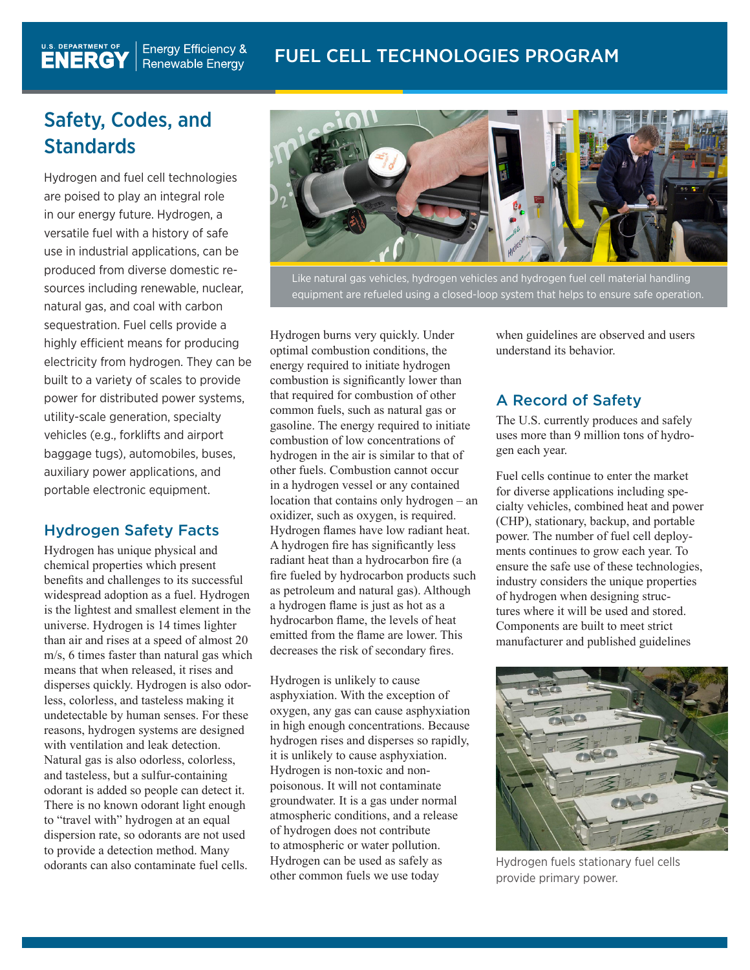# Safety, Codes, and **Standards**

 $\frac{0.5.}{0.5}$  DEPARTMENT OF  $\begin{bmatrix} 0 & 0 \\ 0 & 0 \end{bmatrix}$ 

**ENERGY** 

Hydrogen and fuel cell technologies are poised to play an integral role in our energy future. Hydrogen, a versatile fuel with a history of safe use in industrial applications, can be produced from diverse domestic resources including renewable, nuclear, natural gas, and coal with carbon sequestration. Fuel cells provide a highly efficient means for producing electricity from hydrogen. They can be built to a variety of scales to provide power for distributed power systems, utility-scale generation, specialty vehicles (e.g., forklifts and airport baggage tugs), automobiles, buses, auxiliary power applications, and portable electronic equipment.

# Hydrogen Safety Facts

Hydrogen has unique physical and chemical properties which present benefits and challenges to its successful widespread adoption as a fuel. Hydrogen is the lightest and smallest element in the universe. Hydrogen is 14 times lighter than air and rises at a speed of almost 20 m/s, 6 times faster than natural gas which means that when released, it rises and disperses quickly. Hydrogen is also odorless, colorless, and tasteless making it undetectable by human senses. For these reasons, hydrogen systems are designed with ventilation and leak detection. Natural gas is also odorless, colorless, and tasteless, but a sulfur-containing odorant is added so people can detect it. There is no known odorant light enough to "travel with" hydrogen at an equal dispersion rate, so odorants are not used to provide a detection method. Many odorants can also contaminate fuel cells.



Like natural gas vehicles, hydrogen vehicles and hydrogen fuel cell material handling equipment are refueled using a closed-loop system that helps to ensure safe operation.

Hydrogen burns very quickly. Under optimal combustion conditions, the energy required to initiate hydrogen combustion is significantly lower than that required for combustion of other common fuels, such as natural gas or gasoline. The energy required to initiate combustion of low concentrations of hydrogen in the air is similar to that of other fuels. Combustion cannot occur in a hydrogen vessel or any contained location that contains only hydrogen – an oxidizer, such as oxygen, is required. Hydrogen flames have low radiant heat. A hydrogen fire has significantly less radiant heat than a hydrocarbon fire (a fire fueled by hydrocarbon products such as petroleum and natural gas). Although a hydrogen flame is just as hot as a hydrocarbon flame, the levels of heat emitted from the flame are lower. This decreases the risk of secondary fires.

Hydrogen is unlikely to cause asphyxiation. With the exception of oxygen, any gas can cause asphyxiation in high enough concentrations. Because hydrogen rises and disperses so rapidly, it is unlikely to cause asphyxiation. Hydrogen is non-toxic and nonpoisonous. It will not contaminate groundwater. It is a gas under normal atmospheric conditions, and a release of hydrogen does not contribute to atmospheric or water pollution. Hydrogen can be used as safely as other common fuels we use today

when guidelines are observed and users understand its behavior.

# A Record of Safety

The U.S. currently produces and safely uses more than 9 million tons of hydrogen each year.

Fuel cells continue to enter the market for diverse applications including specialty vehicles, combined heat and power (CHP), stationary, backup, and portable power. The number of fuel cell deployments continues to grow each year. To ensure the safe use of these technologies, industry considers the unique properties of hydrogen when designing structures where it will be used and stored. Components are built to meet strict manufacturer and published guidelines



Hydrogen fuels stationary fuel cells provide primary power.